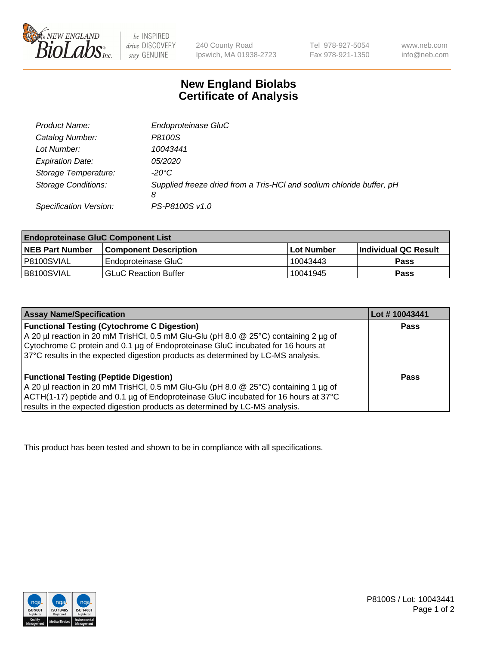

 $be$  INSPIRED drive DISCOVERY stay GENUINE

240 County Road Ipswich, MA 01938-2723 Tel 978-927-5054 Fax 978-921-1350 www.neb.com info@neb.com

## **New England Biolabs Certificate of Analysis**

| Product Name:              | Endoproteinase GluC                                                       |
|----------------------------|---------------------------------------------------------------------------|
| Catalog Number:            | P8100S                                                                    |
| Lot Number:                | 10043441                                                                  |
| <b>Expiration Date:</b>    | <i>05/2020</i>                                                            |
| Storage Temperature:       | $-20^{\circ}$ C                                                           |
| <b>Storage Conditions:</b> | Supplied freeze dried from a Tris-HCI and sodium chloride buffer, pH<br>8 |
| Specification Version:     | PS-P8100S v1.0                                                            |

| <b>Endoproteinase GluC Component List</b> |                              |            |                       |  |
|-------------------------------------------|------------------------------|------------|-----------------------|--|
| <b>NEB Part Number</b>                    | <b>Component Description</b> | Lot Number | ∣Individual QC Result |  |
| P8100SVIAL                                | Endoproteinase GluC          | 10043443   | <b>Pass</b>           |  |
| B8100SVIAL                                | <b>GLuC Reaction Buffer</b>  | 10041945   | Pass                  |  |

| <b>Assay Name/Specification</b>                                                      | Lot #10043441 |
|--------------------------------------------------------------------------------------|---------------|
| <b>Functional Testing (Cytochrome C Digestion)</b>                                   | <b>Pass</b>   |
| A 20 µl reaction in 20 mM TrisHCl, 0.5 mM Glu-Glu (pH 8.0 @ 25°C) containing 2 µg of |               |
| Cytochrome C protein and 0.1 µg of Endoproteinase GluC incubated for 16 hours at     |               |
| 37°C results in the expected digestion products as determined by LC-MS analysis.     |               |
|                                                                                      |               |
| <b>Functional Testing (Peptide Digestion)</b>                                        | Pass          |
| A 20 µl reaction in 20 mM TrisHCl, 0.5 mM Glu-Glu (pH 8.0 @ 25°C) containing 1 µg of |               |
| ACTH(1-17) peptide and 0.1 µg of Endoproteinase GluC incubated for 16 hours at 37°C  |               |
| results in the expected digestion products as determined by LC-MS analysis.          |               |

This product has been tested and shown to be in compliance with all specifications.